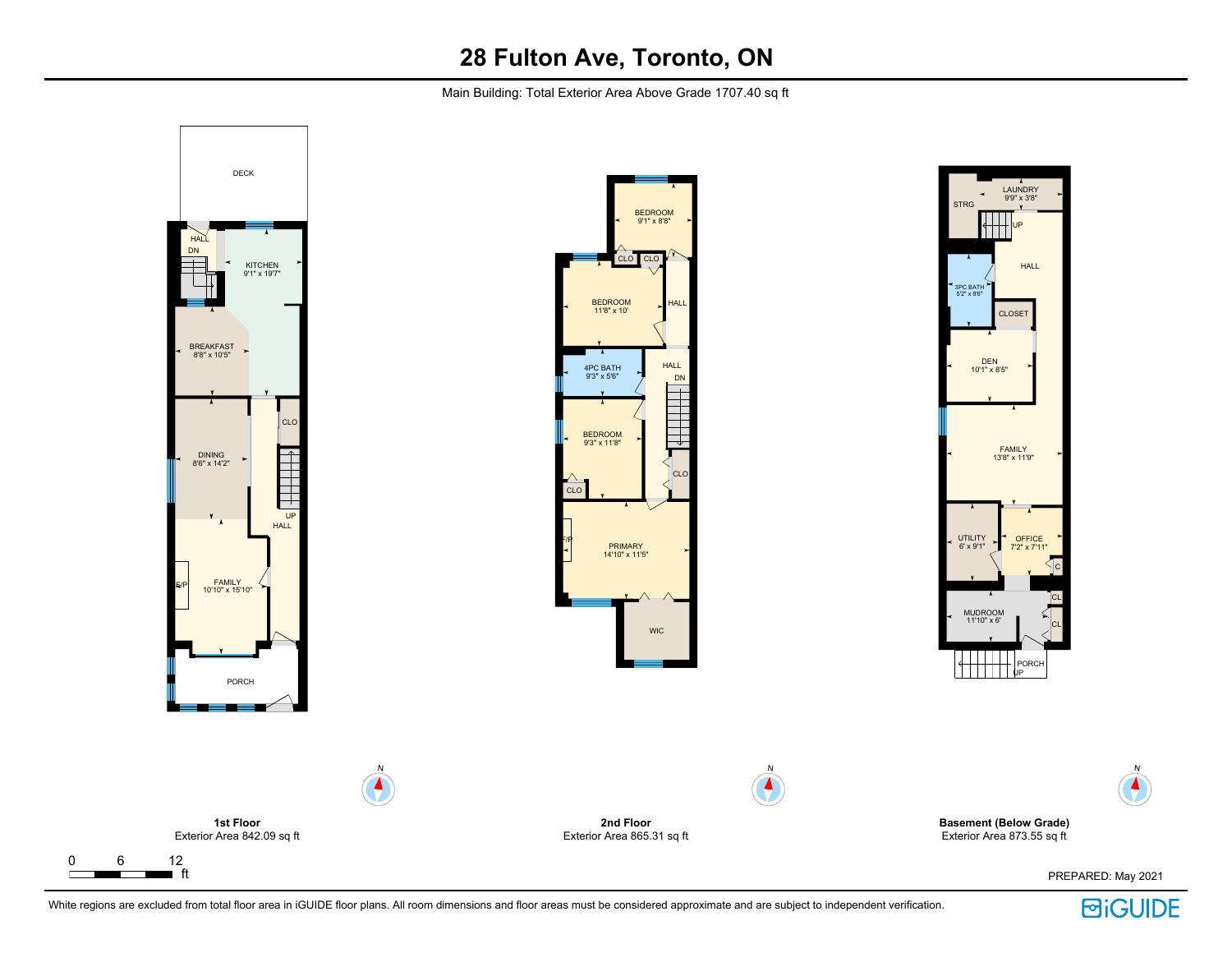Main Building: Total Exterior Area Above Grade 1707.40 sq ft



 $\Gamma$ 

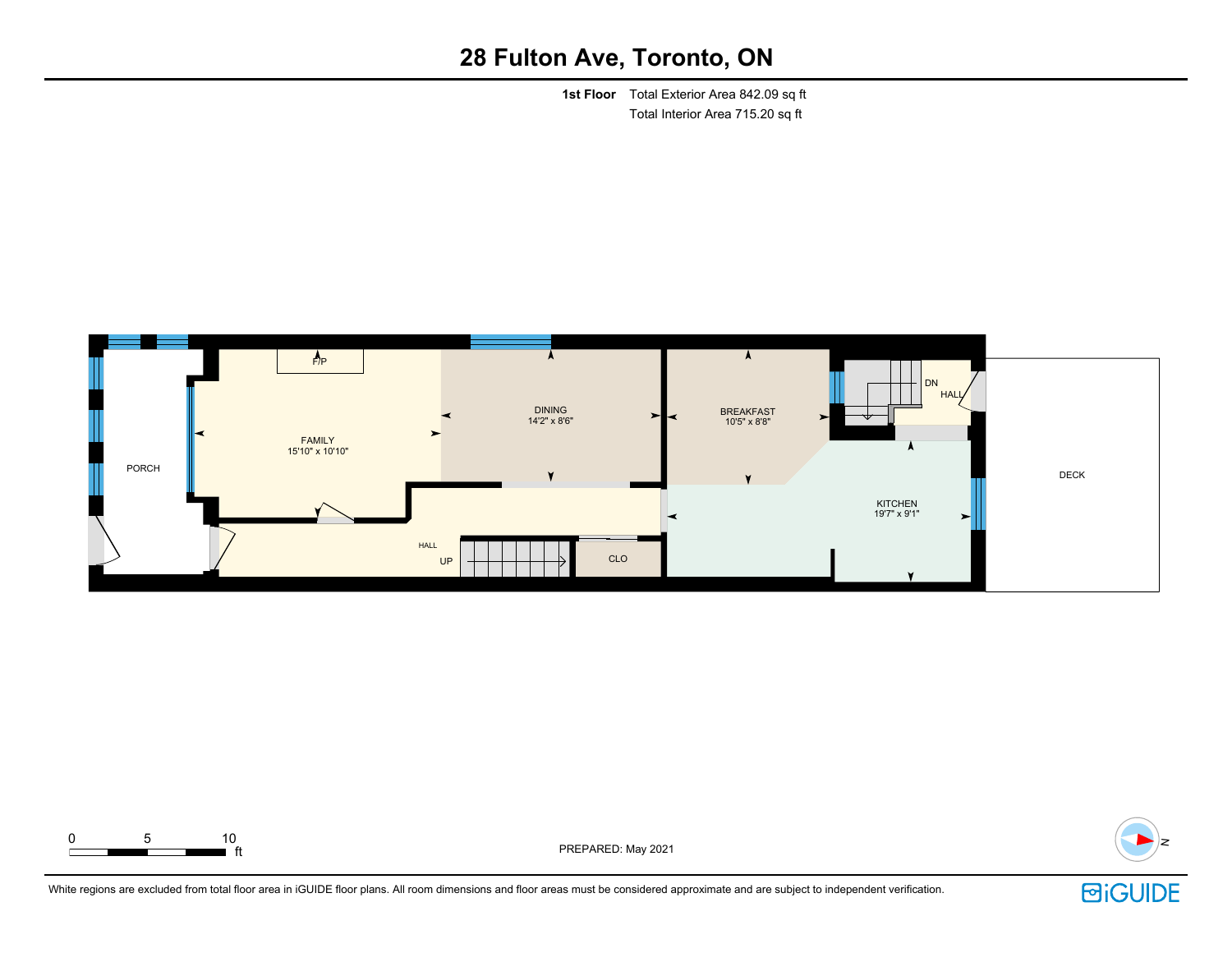**1st Floor** Total Exterior Area 842.09 sq ft Total Interior Area 715.20 sq ft





ft PREPARED: May 2021



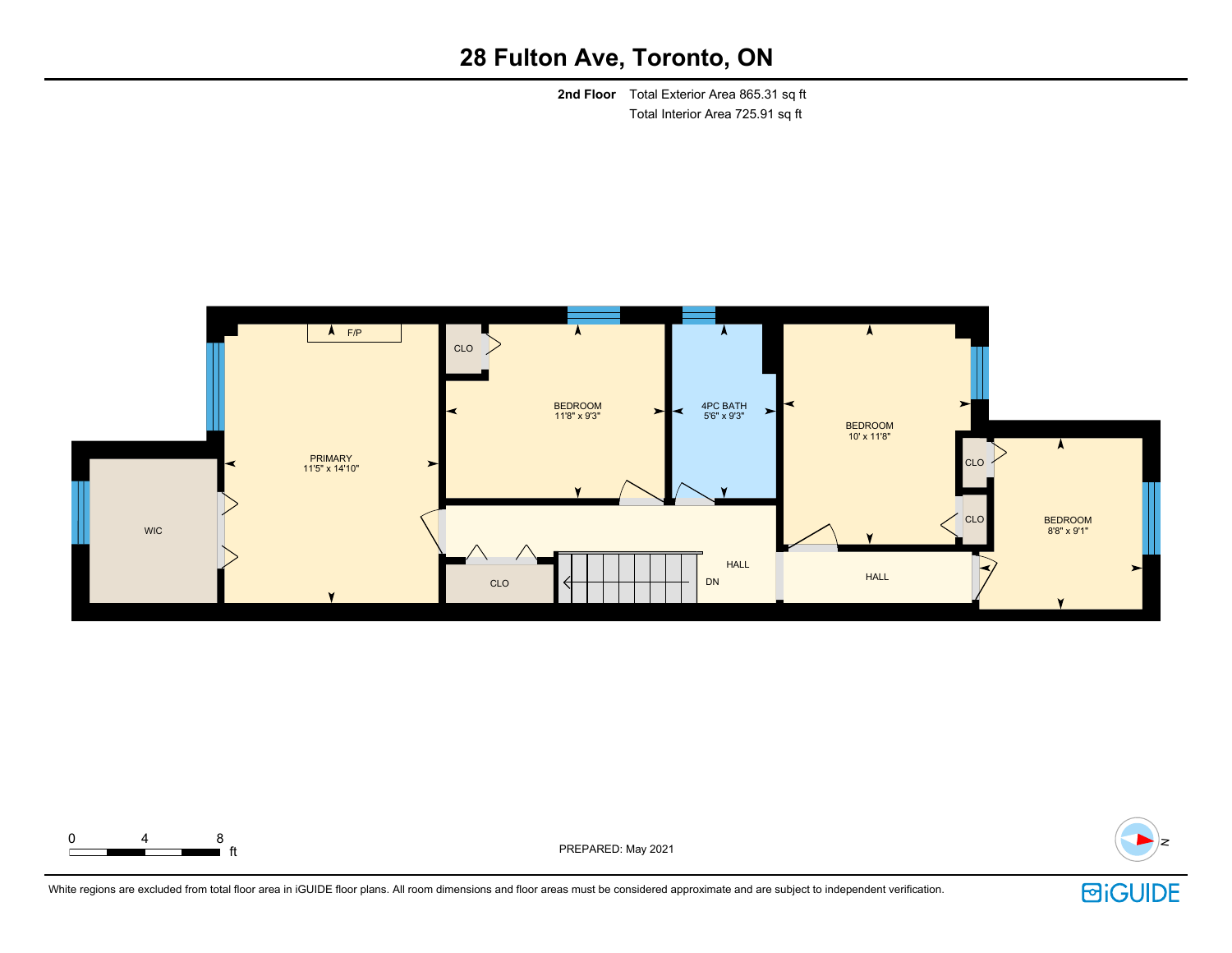**2nd Floor** Total Exterior Area 865.31 sq ft Total Interior Area 725.91 sq ft





extending the PREPARED: May 2021



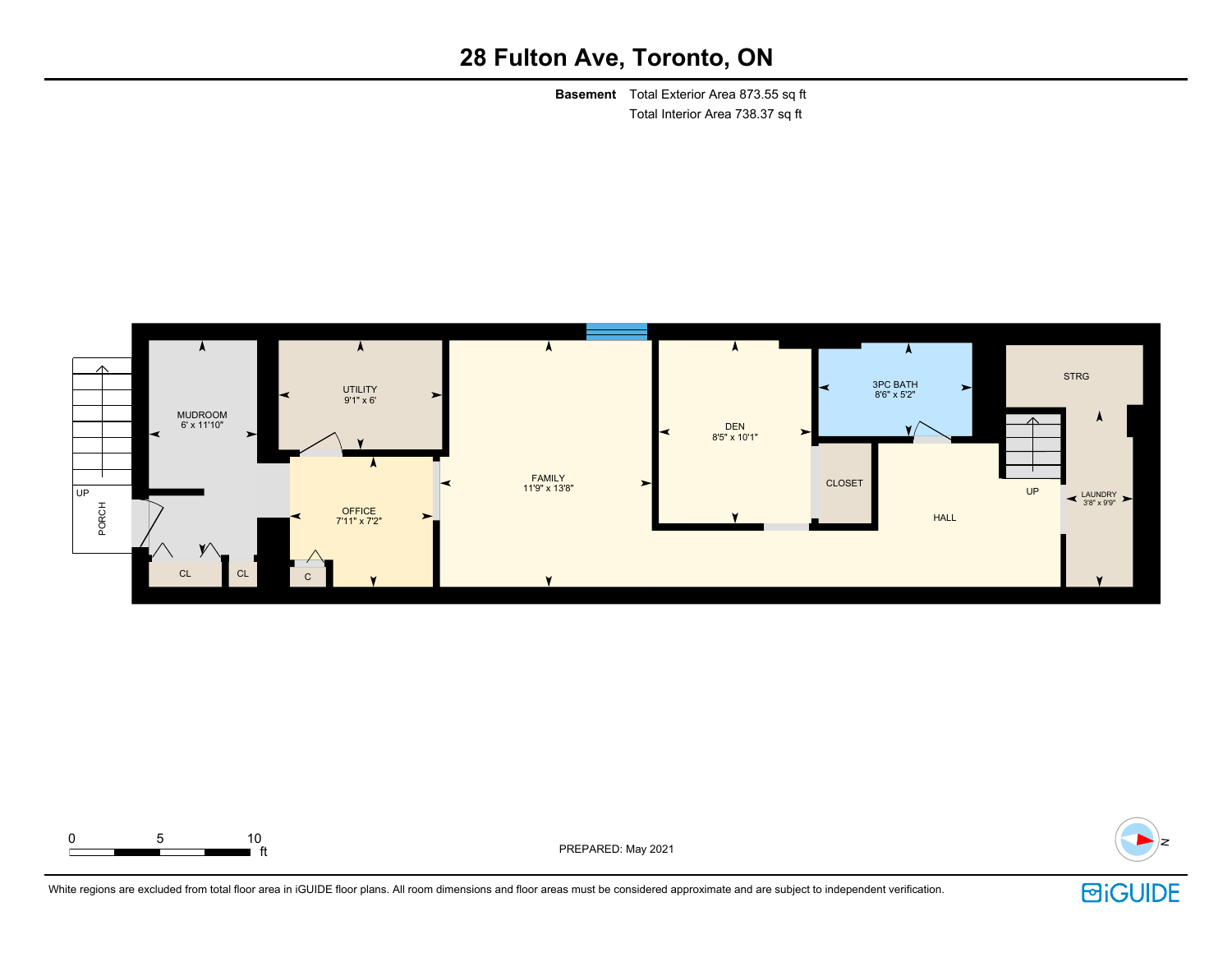**Basement** Total Exterior Area 873.55 sq ft Total Interior Area 738.37 sq ft



![](_page_3_Figure_3.jpeg)

ft PREPARED: May 2021

![](_page_3_Picture_5.jpeg)

![](_page_3_Picture_7.jpeg)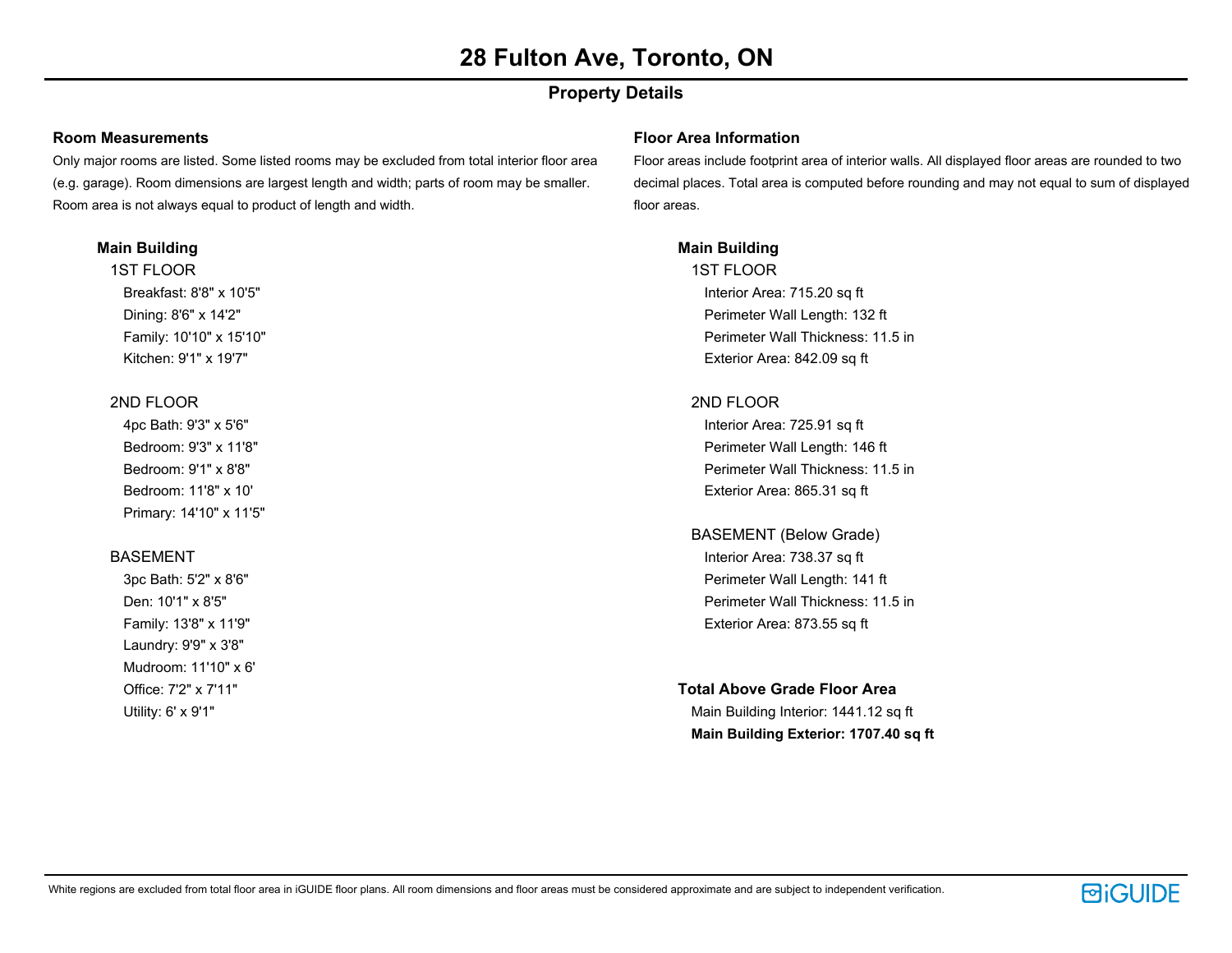### **Property Details**

#### **Room Measurements**

Only major rooms are listed. Some listed rooms may be excluded from total interior floor area (e.g. garage). Room dimensions are largest length and width; parts of room may be smaller. Room area is not always equal to product of length and width.

#### **Main Building**

1ST FLOOR Breakfast: 8'8" x 10'5" Dining: 8'6" x 14'2" Family: 10'10" x 15'10" Kitchen: 9'1" x 19'7"

#### 2ND FLOOR

4pc Bath: 9'3" x 5'6" Bedroom: 9'3" x 11'8" Bedroom: 9'1" x 8'8" Bedroom: 11'8" x 10' Primary: 14'10" x 11'5"

#### BASEMENT

3pc Bath: 5'2" x 8'6" Den: 10'1" x 8'5" Family: 13'8" x 11'9" Laundry: 9'9" x 3'8" Mudroom: 11'10" x 6' Office: 7'2" x 7'11" Utility: 6' x 9'1"

#### **Floor Area Information**

Floor areas include footprint area of interior walls. All displayed floor areas are rounded to two decimal places. Total area is computed before rounding and may not equal to sum of displayed floor areas.

#### **Main Building**

1ST FLOOR Interior Area: 715.20 sq ft Perimeter Wall Length: 132 ft Perimeter Wall Thickness: 11.5 in Exterior Area: 842.09 sq ft

#### 2ND FLOOR

Interior Area: 725.91 sq ft Perimeter Wall Length: 146 ft Perimeter Wall Thickness: 11.5 in Exterior Area: 865.31 sq ft

BASEMENT (Below Grade) Interior Area: 738.37 sq ft Perimeter Wall Length: 141 ft Perimeter Wall Thickness: 11.5 in Exterior Area: 873.55 sq ft

#### **Total Above Grade Floor Area**

Main Building Interior: 1441.12 sq ft **Main Building Exterior: 1707.40 sq ft**

![](_page_4_Picture_20.jpeg)